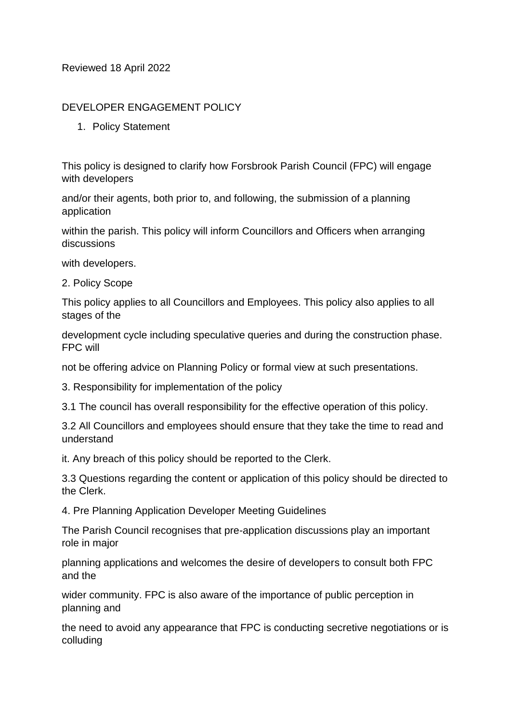## Reviewed 18 April 2022

## DEVELOPER ENGAGEMENT POLICY

1. Policy Statement

This policy is designed to clarify how Forsbrook Parish Council (FPC) will engage with developers

and/or their agents, both prior to, and following, the submission of a planning application

within the parish. This policy will inform Councillors and Officers when arranging discussions

with developers.

2. Policy Scope

This policy applies to all Councillors and Employees. This policy also applies to all stages of the

development cycle including speculative queries and during the construction phase. FPC will

not be offering advice on Planning Policy or formal view at such presentations.

3. Responsibility for implementation of the policy

3.1 The council has overall responsibility for the effective operation of this policy.

3.2 All Councillors and employees should ensure that they take the time to read and understand

it. Any breach of this policy should be reported to the Clerk.

3.3 Questions regarding the content or application of this policy should be directed to the Clerk.

4. Pre Planning Application Developer Meeting Guidelines

The Parish Council recognises that pre-application discussions play an important role in major

planning applications and welcomes the desire of developers to consult both FPC and the

wider community. FPC is also aware of the importance of public perception in planning and

the need to avoid any appearance that FPC is conducting secretive negotiations or is colluding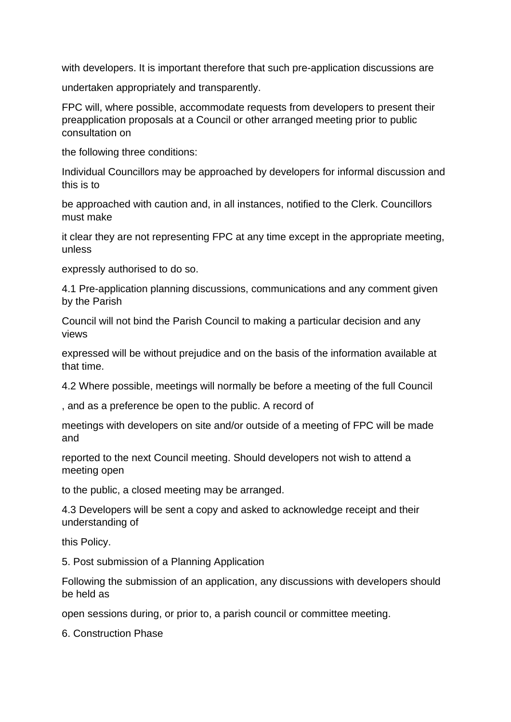with developers. It is important therefore that such pre-application discussions are

undertaken appropriately and transparently.

FPC will, where possible, accommodate requests from developers to present their preapplication proposals at a Council or other arranged meeting prior to public consultation on

the following three conditions:

Individual Councillors may be approached by developers for informal discussion and this is to

be approached with caution and, in all instances, notified to the Clerk. Councillors must make

it clear they are not representing FPC at any time except in the appropriate meeting, unless

expressly authorised to do so.

4.1 Pre-application planning discussions, communications and any comment given by the Parish

Council will not bind the Parish Council to making a particular decision and any views

expressed will be without prejudice and on the basis of the information available at that time.

4.2 Where possible, meetings will normally be before a meeting of the full Council

, and as a preference be open to the public. A record of

meetings with developers on site and/or outside of a meeting of FPC will be made and

reported to the next Council meeting. Should developers not wish to attend a meeting open

to the public, a closed meeting may be arranged.

4.3 Developers will be sent a copy and asked to acknowledge receipt and their understanding of

this Policy.

5. Post submission of a Planning Application

Following the submission of an application, any discussions with developers should be held as

open sessions during, or prior to, a parish council or committee meeting.

6. Construction Phase